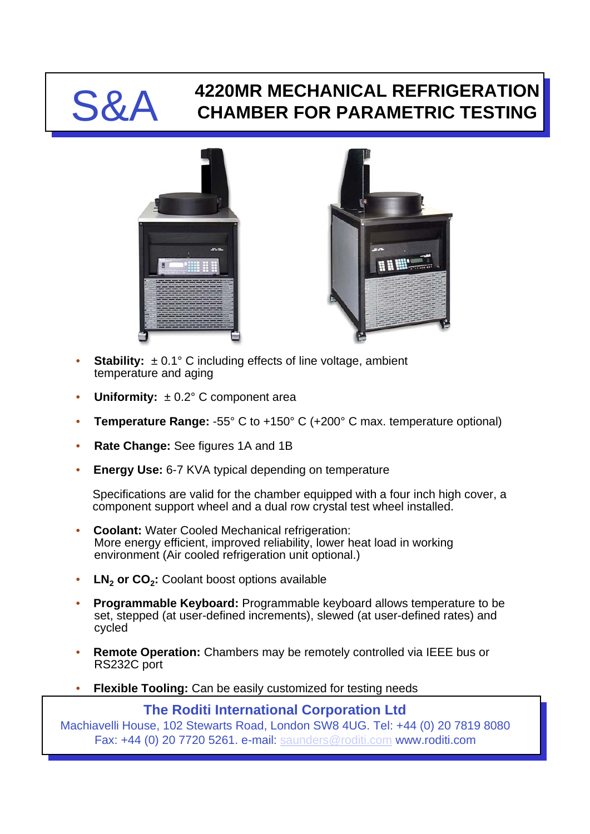## S&A **4220MR MECHANICAL REFRIGERATION CHAMBER FOR PARAMETRIC TESTING**





- **Stability:**  $\pm 0.1^{\circ}$  C including effects of line voltage, ambient temperature and aging
- **Uniformity:**  $\pm 0.2^{\circ}$  C component area
- **Temperature Range:** -55° C to +150° C (+200° C max. temperature optional)
- **Rate Change:** See figures 1A and 1B
- **Energy Use:** 6-7 KVA typical depending on temperature

Specifications are valid for the chamber equipped with a four inch high cover, a component support wheel and a dual row crystal test wheel installed.

- **Coolant:** Water Cooled Mechanical refrigeration: More energy efficient, improved reliability, lower heat load in working environment (Air cooled refrigeration unit optional.)
- LN<sub>2</sub> or CO<sub>2</sub>: Coolant boost options available
- **Programmable Keyboard:** Programmable keyboard allows temperature to be set, stepped (at user-defined increments), slewed (at user-defined rates) and cycled
- **Remote Operation:** Chambers may be remotely controlled via IEEE bus or RS232C port
- **Flexible Tooling:** Can be easily customized for testing needs

**The Roditi International Corporation Ltd**

Machiavelli House, 102 Stewarts Road, London SW8 4UG. Tel: +44 (0) 20 7819 8080 Fax: +44 (0) 20 7720 5261. e-mail: [saunders@roditi.com](mailto:saunders@roditi.com) www.roditi.com